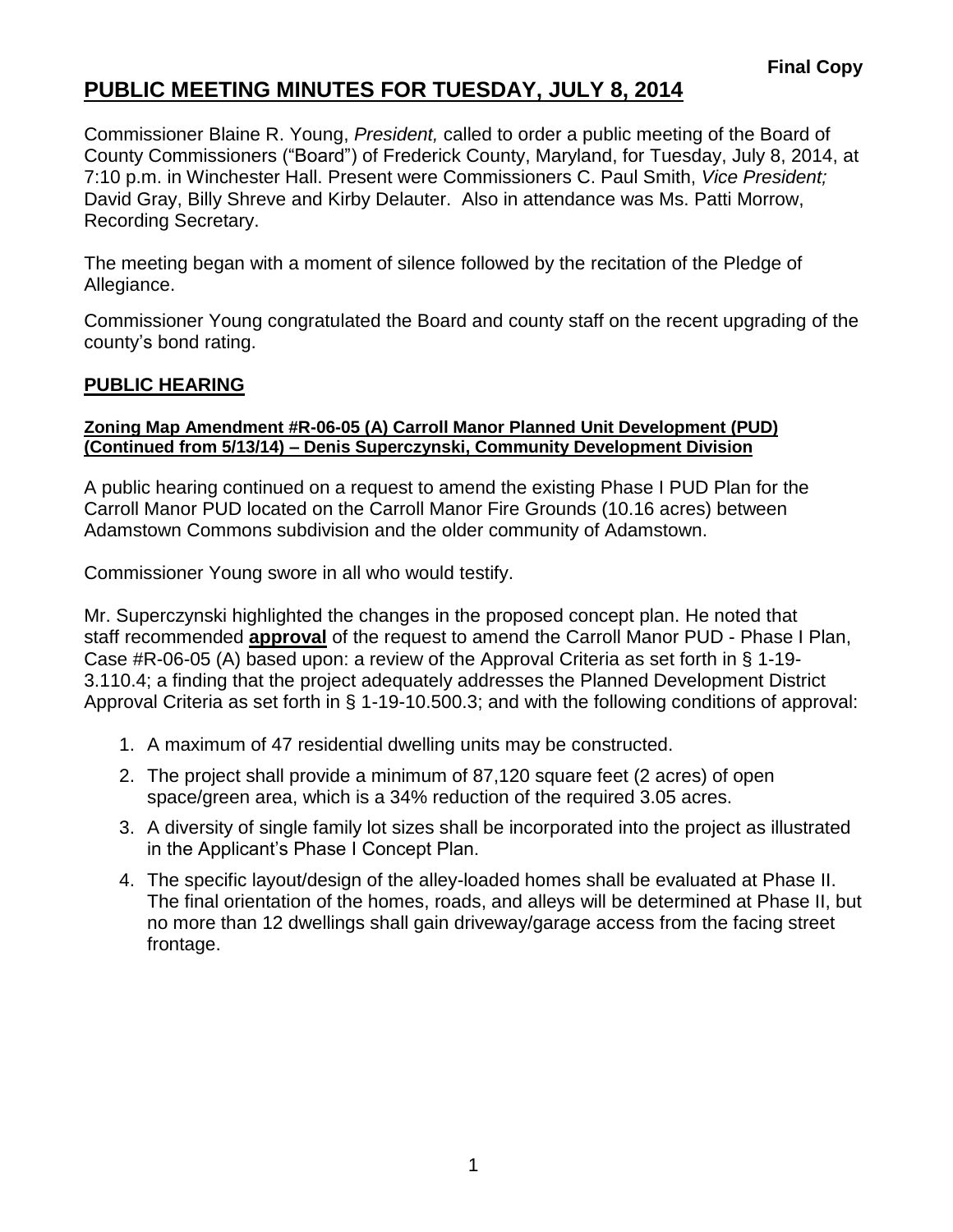Commissioner Blaine R. Young, *President,* called to order a public meeting of the Board of County Commissioners ("Board") of Frederick County, Maryland, for Tuesday, July 8, 2014, at 7:10 p.m. in Winchester Hall. Present were Commissioners C. Paul Smith, *Vice President;* David Gray, Billy Shreve and Kirby Delauter. Also in attendance was Ms. Patti Morrow, Recording Secretary.

The meeting began with a moment of silence followed by the recitation of the Pledge of Allegiance.

Commissioner Young congratulated the Board and county staff on the recent upgrading of the county's bond rating.

#### **PUBLIC HEARING**

#### **Zoning Map Amendment #R-06-05 (A) Carroll Manor Planned Unit Development (PUD) (Continued from 5/13/14) – Denis Superczynski, Community Development Division**

A public hearing continued on a request to amend the existing Phase I PUD Plan for the Carroll Manor PUD located on the Carroll Manor Fire Grounds (10.16 acres) between Adamstown Commons subdivision and the older community of Adamstown.

Commissioner Young swore in all who would testify.

Mr. Superczynski highlighted the changes in the proposed concept plan. He noted that staff recommended **approval** of the request to amend the Carroll Manor PUD - Phase I Plan, Case #R-06-05 (A) based upon: a review of the Approval Criteria as set forth in § 1-19- 3.110.4; a finding that the project adequately addresses the Planned Development District Approval Criteria as set forth in § 1-19-10.500.3; and with the following conditions of approval:

- 1. A maximum of 47 residential dwelling units may be constructed.
- 2. The project shall provide a minimum of 87,120 square feet (2 acres) of open space/green area, which is a 34% reduction of the required 3.05 acres.
- 3. A diversity of single family lot sizes shall be incorporated into the project as illustrated in the Applicant's Phase I Concept Plan.
- 4. The specific layout/design of the alley-loaded homes shall be evaluated at Phase II. The final orientation of the homes, roads, and alleys will be determined at Phase II, but no more than 12 dwellings shall gain driveway/garage access from the facing street frontage.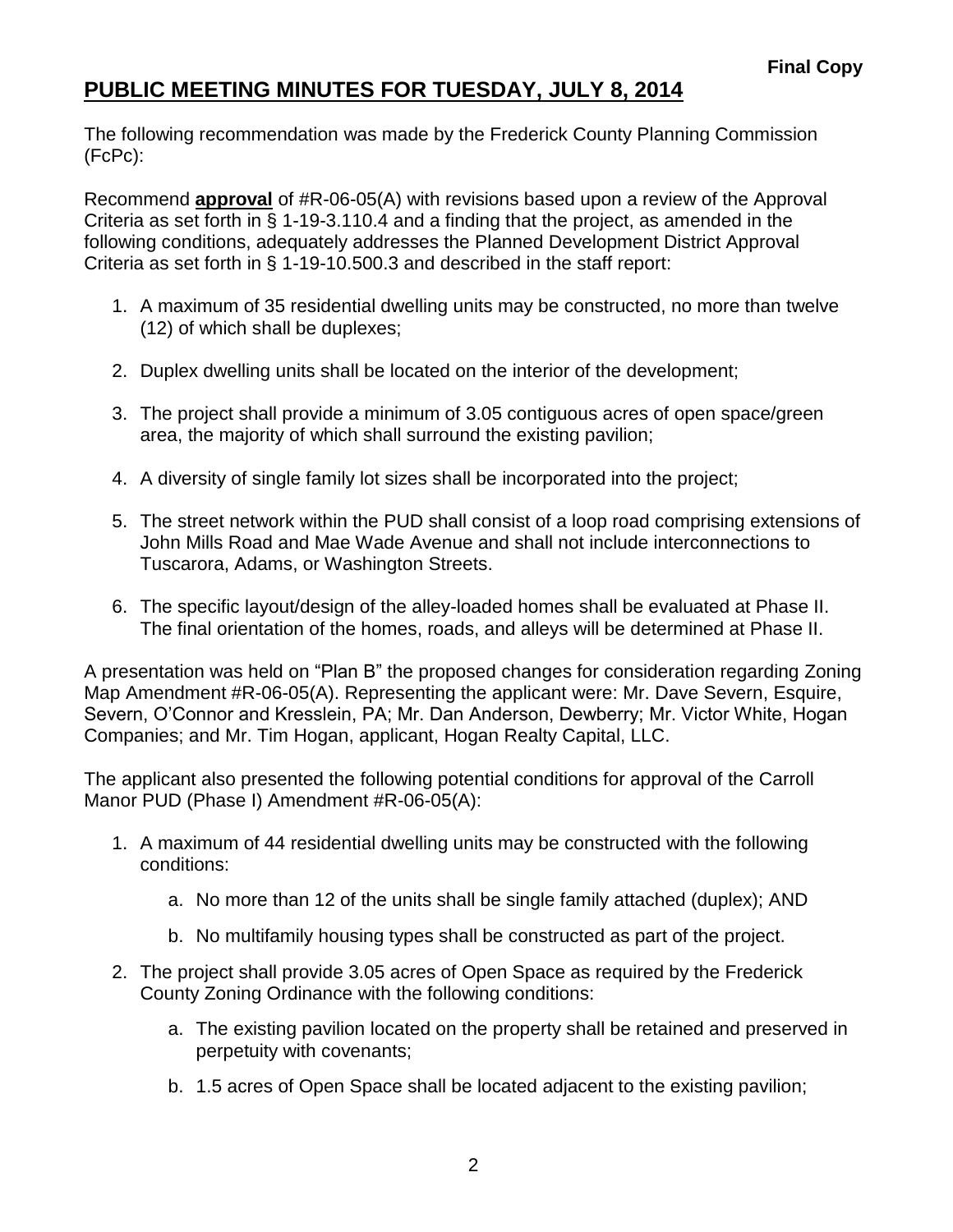The following recommendation was made by the Frederick County Planning Commission (FcPc):

Recommend **approval** of #R-06-05(A) with revisions based upon a review of the Approval Criteria as set forth in § 1-19-3.110.4 and a finding that the project, as amended in the following conditions, adequately addresses the Planned Development District Approval Criteria as set forth in § 1-19-10.500.3 and described in the staff report:

- 1. A maximum of 35 residential dwelling units may be constructed, no more than twelve (12) of which shall be duplexes;
- 2. Duplex dwelling units shall be located on the interior of the development;
- 3. The project shall provide a minimum of 3.05 contiguous acres of open space/green area, the majority of which shall surround the existing pavilion;
- 4. A diversity of single family lot sizes shall be incorporated into the project;
- 5. The street network within the PUD shall consist of a loop road comprising extensions of John Mills Road and Mae Wade Avenue and shall not include interconnections to Tuscarora, Adams, or Washington Streets.
- 6. The specific layout/design of the alley-loaded homes shall be evaluated at Phase II. The final orientation of the homes, roads, and alleys will be determined at Phase II.

A presentation was held on "Plan B" the proposed changes for consideration regarding Zoning Map Amendment #R-06-05(A). Representing the applicant were: Mr. Dave Severn, Esquire, Severn, O'Connor and Kresslein, PA; Mr. Dan Anderson, Dewberry; Mr. Victor White, Hogan Companies; and Mr. Tim Hogan, applicant, Hogan Realty Capital, LLC.

The applicant also presented the following potential conditions for approval of the Carroll Manor PUD (Phase I) Amendment #R-06-05(A):

- 1. A maximum of 44 residential dwelling units may be constructed with the following conditions:
	- a. No more than 12 of the units shall be single family attached (duplex); AND
	- b. No multifamily housing types shall be constructed as part of the project.
- 2. The project shall provide 3.05 acres of Open Space as required by the Frederick County Zoning Ordinance with the following conditions:
	- a. The existing pavilion located on the property shall be retained and preserved in perpetuity with covenants;
	- b. 1.5 acres of Open Space shall be located adjacent to the existing pavilion;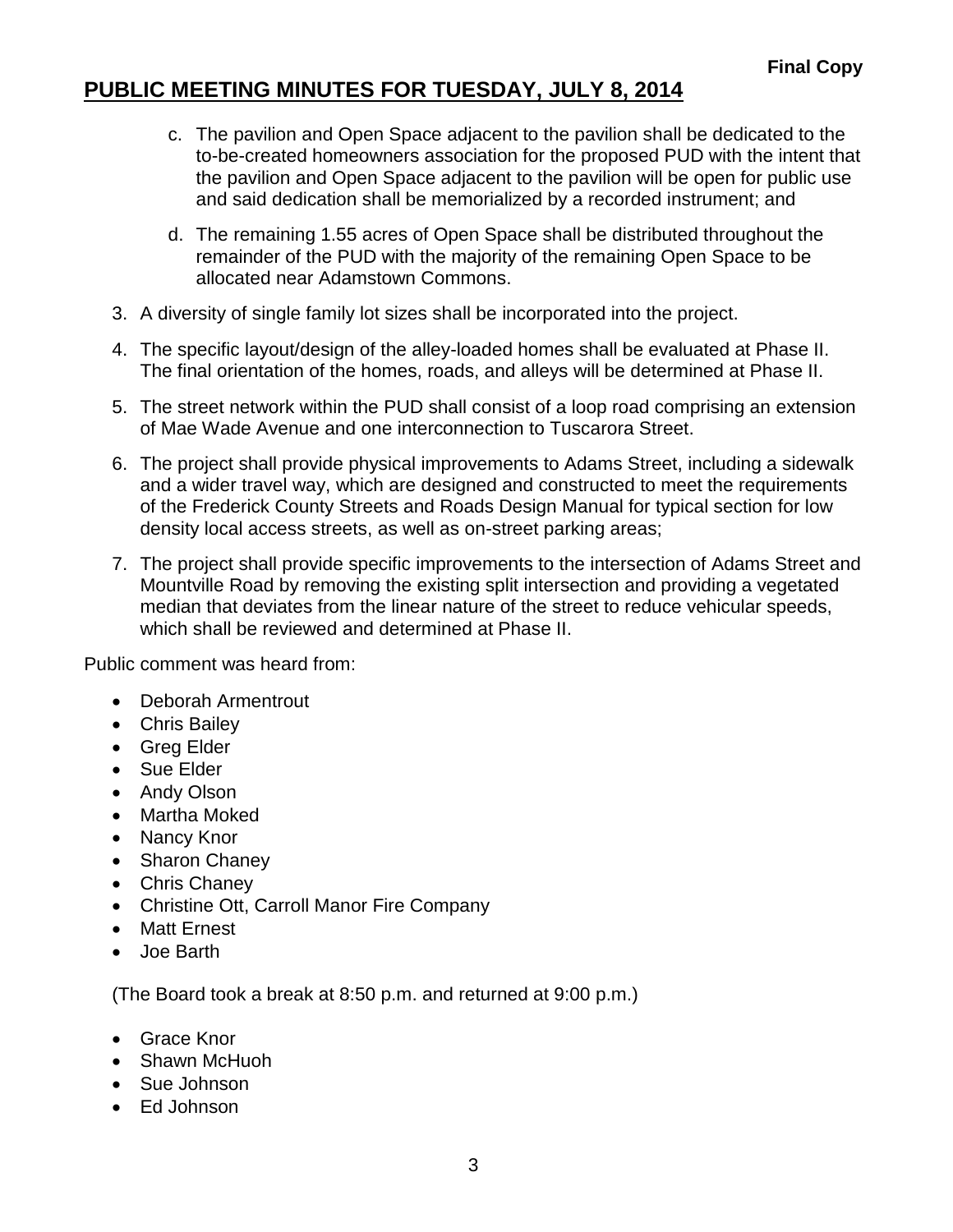- c. The pavilion and Open Space adjacent to the pavilion shall be dedicated to the to-be-created homeowners association for the proposed PUD with the intent that the pavilion and Open Space adjacent to the pavilion will be open for public use and said dedication shall be memorialized by a recorded instrument; and
- d. The remaining 1.55 acres of Open Space shall be distributed throughout the remainder of the PUD with the majority of the remaining Open Space to be allocated near Adamstown Commons.
- 3. A diversity of single family lot sizes shall be incorporated into the project.
- 4. The specific layout/design of the alley-loaded homes shall be evaluated at Phase II. The final orientation of the homes, roads, and alleys will be determined at Phase II.
- 5. The street network within the PUD shall consist of a loop road comprising an extension of Mae Wade Avenue and one interconnection to Tuscarora Street.
- 6. The project shall provide physical improvements to Adams Street, including a sidewalk and a wider travel way, which are designed and constructed to meet the requirements of the Frederick County Streets and Roads Design Manual for typical section for low density local access streets, as well as on-street parking areas;
- 7. The project shall provide specific improvements to the intersection of Adams Street and Mountville Road by removing the existing split intersection and providing a vegetated median that deviates from the linear nature of the street to reduce vehicular speeds, which shall be reviewed and determined at Phase II.

Public comment was heard from:

- Deborah Armentrout
- Chris Bailey
- Greg Elder
- Sue Elder
- Andy Olson
- Martha Moked
- Nancy Knor
- Sharon Chaney
- Chris Chaney
- Christine Ott, Carroll Manor Fire Company
- Matt Ernest
- Joe Barth

(The Board took a break at 8:50 p.m. and returned at 9:00 p.m.)

- Grace Knor
- Shawn McHuoh
- Sue Johnson
- Ed Johnson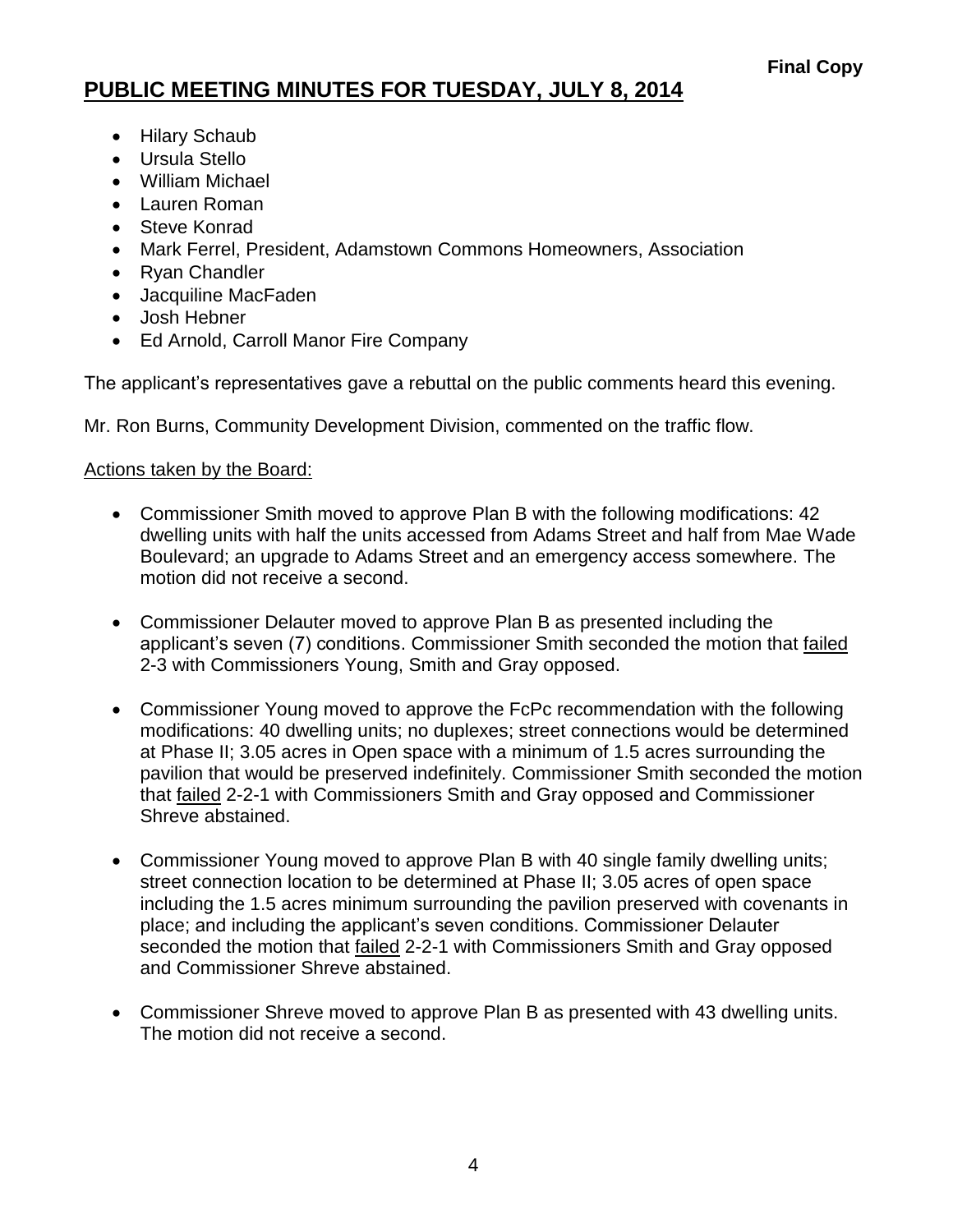- Hilary Schaub
- Ursula Stello
- William Michael
- Lauren Roman
- Steve Konrad
- Mark Ferrel, President, Adamstown Commons Homeowners, Association
- Ryan Chandler
- Jacquiline MacFaden
- Josh Hebner
- Ed Arnold, Carroll Manor Fire Company

The applicant's representatives gave a rebuttal on the public comments heard this evening.

Mr. Ron Burns, Community Development Division, commented on the traffic flow.

#### Actions taken by the Board:

- Commissioner Smith moved to approve Plan B with the following modifications: 42 dwelling units with half the units accessed from Adams Street and half from Mae Wade Boulevard; an upgrade to Adams Street and an emergency access somewhere. The motion did not receive a second.
- Commissioner Delauter moved to approve Plan B as presented including the applicant's seven (7) conditions. Commissioner Smith seconded the motion that failed 2-3 with Commissioners Young, Smith and Gray opposed.
- Commissioner Young moved to approve the FcPc recommendation with the following modifications: 40 dwelling units; no duplexes; street connections would be determined at Phase II; 3.05 acres in Open space with a minimum of 1.5 acres surrounding the pavilion that would be preserved indefinitely. Commissioner Smith seconded the motion that **failed 2-2-1 with Commissioners Smith and Gray opposed and Commissioner** Shreve abstained.
- Commissioner Young moved to approve Plan B with 40 single family dwelling units; street connection location to be determined at Phase II; 3.05 acres of open space including the 1.5 acres minimum surrounding the pavilion preserved with covenants in place; and including the applicant's seven conditions. Commissioner Delauter seconded the motion that failed 2-2-1 with Commissioners Smith and Gray opposed and Commissioner Shreve abstained.
- Commissioner Shreve moved to approve Plan B as presented with 43 dwelling units. The motion did not receive a second.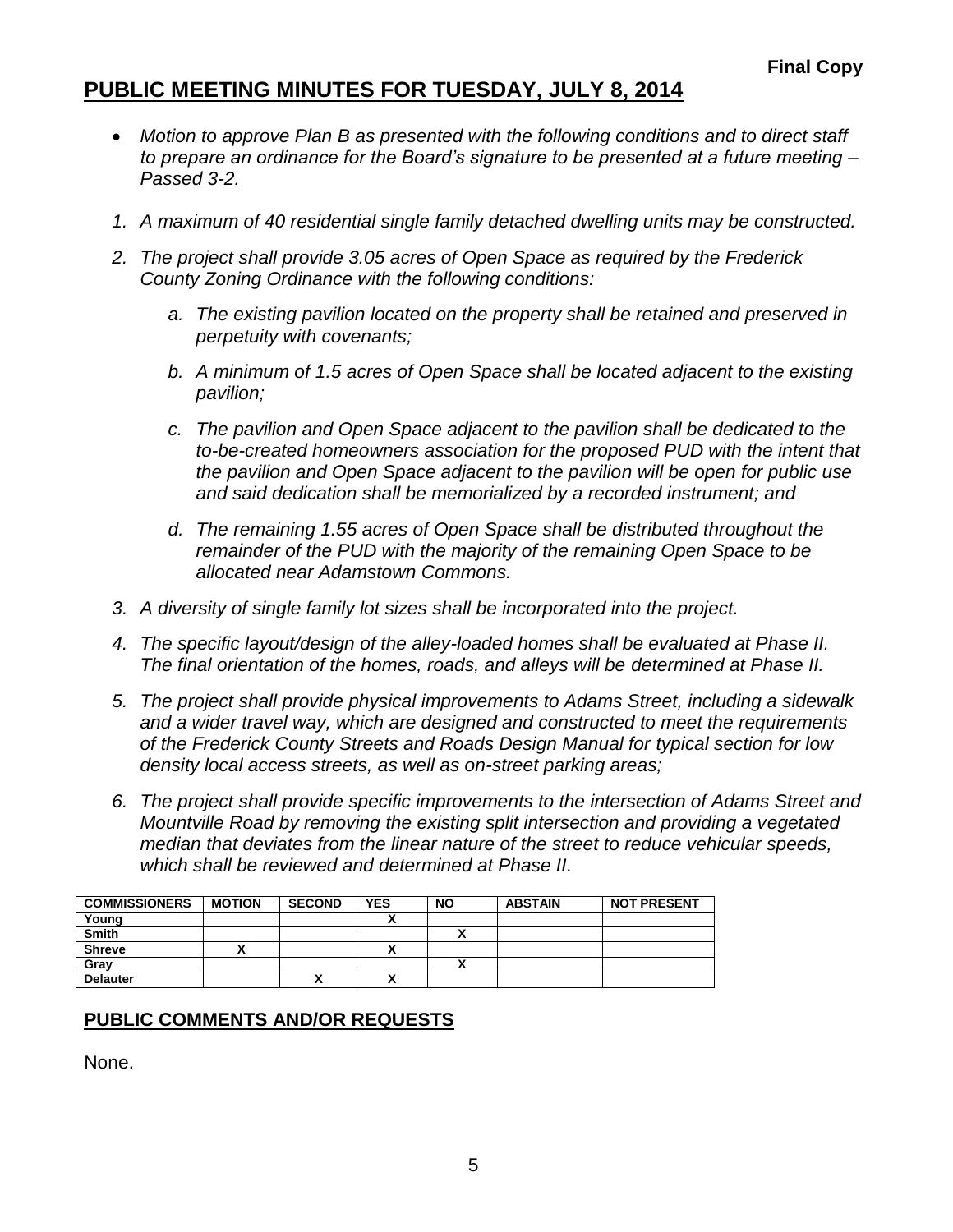- *Motion to approve Plan B as presented with the following conditions and to direct staff to prepare an ordinance for the Board's signature to be presented at a future meeting – Passed 3-2.*
- *1. A maximum of 40 residential single family detached dwelling units may be constructed.*
- *2. The project shall provide 3.05 acres of Open Space as required by the Frederick County Zoning Ordinance with the following conditions:*
	- *a. The existing pavilion located on the property shall be retained and preserved in perpetuity with covenants;*
	- *b. A minimum of 1.5 acres of Open Space shall be located adjacent to the existing pavilion;*
	- *c. The pavilion and Open Space adjacent to the pavilion shall be dedicated to the to-be-created homeowners association for the proposed PUD with the intent that the pavilion and Open Space adjacent to the pavilion will be open for public use and said dedication shall be memorialized by a recorded instrument; and*
	- *d. The remaining 1.55 acres of Open Space shall be distributed throughout the remainder of the PUD with the majority of the remaining Open Space to be allocated near Adamstown Commons.*
- *3. A diversity of single family lot sizes shall be incorporated into the project.*
- *4. The specific layout/design of the alley-loaded homes shall be evaluated at Phase II. The final orientation of the homes, roads, and alleys will be determined at Phase II.*
- *5. The project shall provide physical improvements to Adams Street, including a sidewalk and a wider travel way, which are designed and constructed to meet the requirements of the Frederick County Streets and Roads Design Manual for typical section for low density local access streets, as well as on-street parking areas;*
- *6. The project shall provide specific improvements to the intersection of Adams Street and Mountville Road by removing the existing split intersection and providing a vegetated median that deviates from the linear nature of the street to reduce vehicular speeds, which shall be reviewed and determined at Phase II.*

| <b>COMMISSIONERS</b> | <b>MOTION</b> | <b>SECOND</b> | <b>YES</b> | NΟ | <b>ABSTAIN</b> | <b>NOT PRESENT</b> |
|----------------------|---------------|---------------|------------|----|----------------|--------------------|
| Young                |               |               |            |    |                |                    |
| <b>Smith</b>         |               |               |            |    |                |                    |
| <b>Shreve</b>        |               |               |            |    |                |                    |
| Gray                 |               |               |            | ^  |                |                    |
| <b>Delauter</b>      |               | ́             |            |    |                |                    |

### **PUBLIC COMMENTS AND/OR REQUESTS**

None.